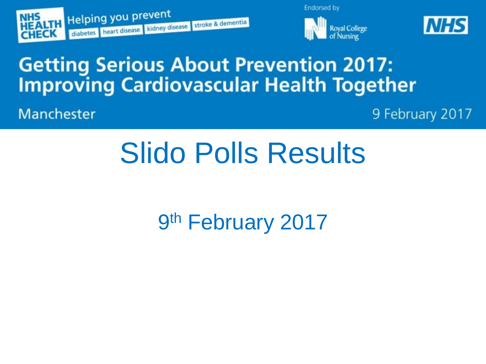





## **Getting Serious About Prevention 2017: Improving Cardiovascular Health Together**

Manchester

9 February 2017

# **Slido Polls Results**

9th February 2017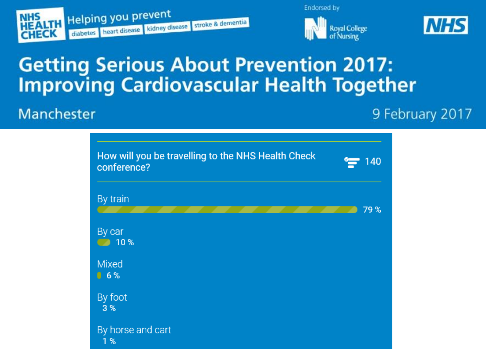





## **Getting Serious About Prevention 2017: Improving Cardiovascular Health Together**

#### Manchester

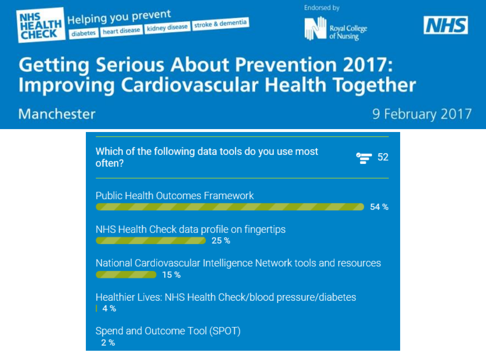





## **Getting Serious About Prevention 2017: Improving Cardiovascular Health Together**

#### Manchester

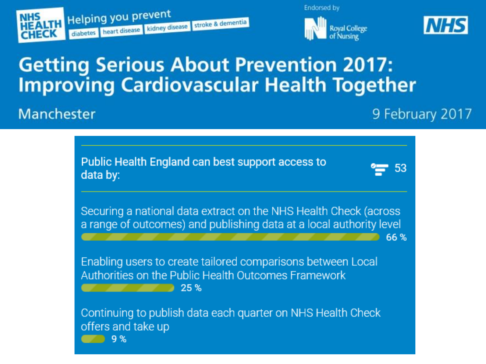





## **Getting Serious About Prevention 2017: Improving Cardiovascular Health Together**

#### Manchester

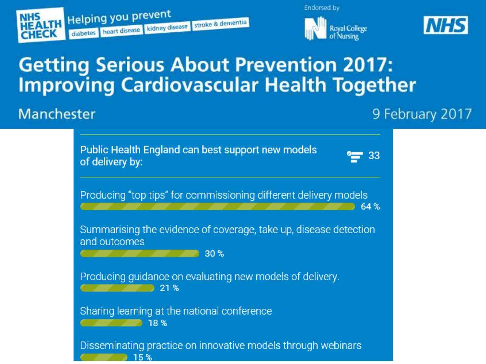





# **Getting Serious About Prevention 2017: Improving Cardiovascular Health Together**

#### Manchester

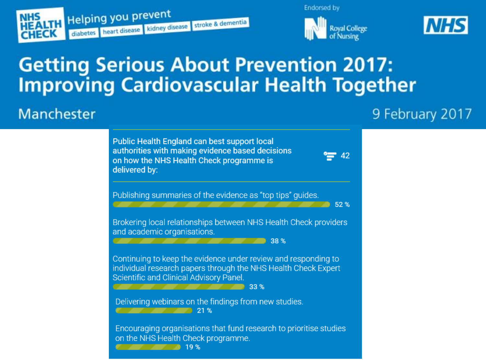





# **Getting Serious About Prevention 2017: Improving Cardiovascular Health Together**

#### Manchester

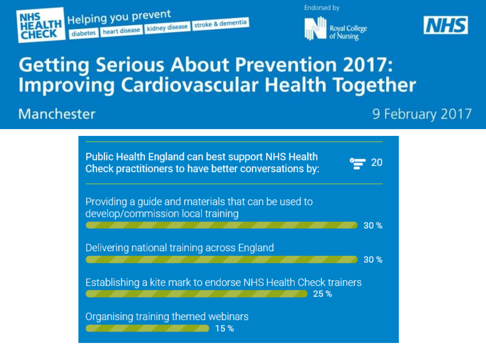





## **Getting Serious About Prevention 2017: Improving Cardiovascular Health Together**

#### Manchester

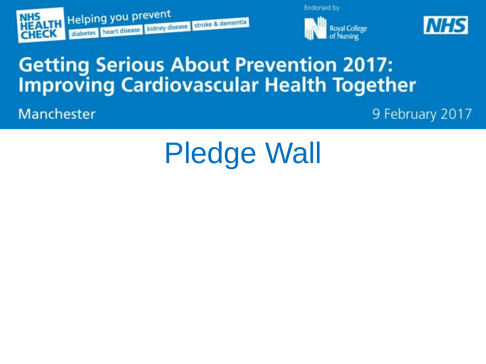





## **Getting Serious About Prevention 2017: Improving Cardiovascular Health Together**

Manchester

9 February 2017

# **Pledge Wall**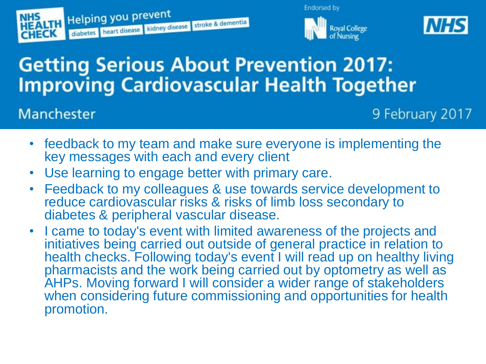





# **Getting Serious About Prevention 2017: Improving Cardiovascular Health Together**

#### Manchester

- feedback to my team and make sure everyone is implementing the key messages with each and every client
- Use learning to engage better with primary care.
- Feedback to my colleagues & use towards service development to reduce cardiovascular risks & risks of limb loss secondary to diabetes & peripheral vascular disease.
- I came to today's event with limited awareness of the projects and initiatives being carried out outside of general practice in relation to health checks. Following today's event I will read up on healthy living pharmacists and the work being carried out by optometry as well as AHPs. Moving forward I will consider a wider range of stakeholders when considering future commissioning and opportunities for health promotion.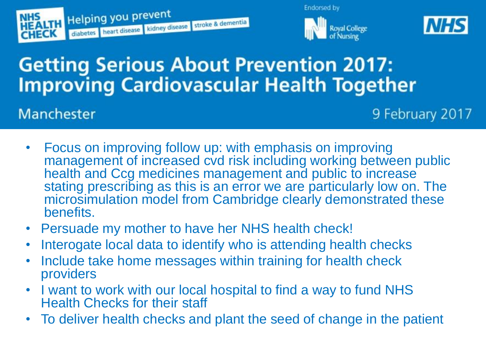





## **Getting Serious About Prevention 2017: Improving Cardiovascular Health Together**

### Manchester

- Focus on improving follow up: with emphasis on improving management of increased cvd risk including working between public health and Ccg medicines management and public to increase stating prescribing as this is an error we are particularly low on. The microsimulation model from Cambridge clearly demonstrated these benefits.
- Persuade my mother to have her NHS health check!
- Interogate local data to identify who is attending health checks
- Include take home messages within training for health check providers
- I want to work with our local hospital to find a way to fund NHS Health Checks for their staff
- To deliver health checks and plant the seed of change in the patient